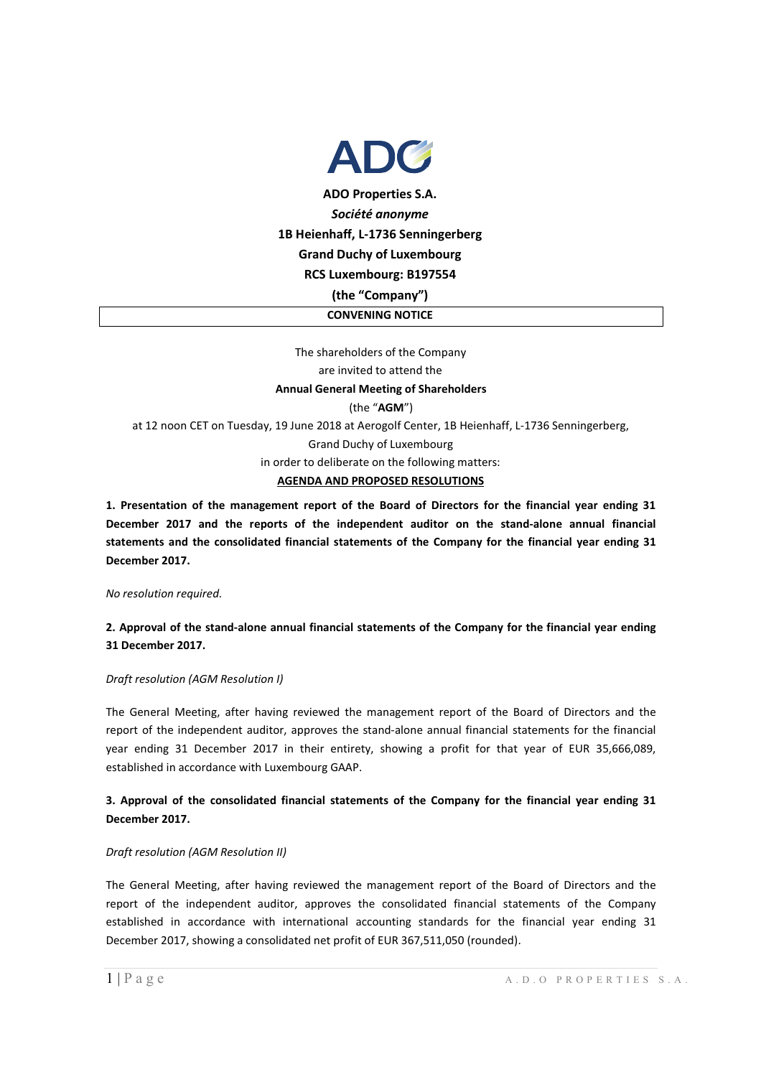

The shareholders of the Company are invited to attend the **Annual General Meeting of Shareholders**  (the "**AGM**") at 12 noon CET on Tuesday, 19 June 2018 at Aerogolf Center, 1B Heienhaff, L-1736 Senningerberg, Grand Duchy of Luxembourg in order to deliberate on the following matters: **AGENDA AND PROPOSED RESOLUTIONS**

**1. Presentation of the management report of the Board of Directors for the financial year ending 31 December 2017 and the reports of the independent auditor on the stand-alone annual financial statements and the consolidated financial statements of the Company for the financial year ending 31 December 2017.** 

*No resolution required.*

**2. Approval of the stand-alone annual financial statements of the Company for the financial year ending 31 December 2017.** 

*Draft resolution (AGM Resolution I)* 

The General Meeting, after having reviewed the management report of the Board of Directors and the report of the independent auditor, approves the stand-alone annual financial statements for the financial year ending 31 December 2017 in their entirety, showing a profit for that year of EUR 35,666,089, established in accordance with Luxembourg GAAP.

# **3. Approval of the consolidated financial statements of the Company for the financial year ending 31 December 2017.**

#### *Draft resolution (AGM Resolution II)*

The General Meeting, after having reviewed the management report of the Board of Directors and the report of the independent auditor, approves the consolidated financial statements of the Company established in accordance with international accounting standards for the financial year ending 31 December 2017, showing a consolidated net profit of EUR 367,511,050 (rounded).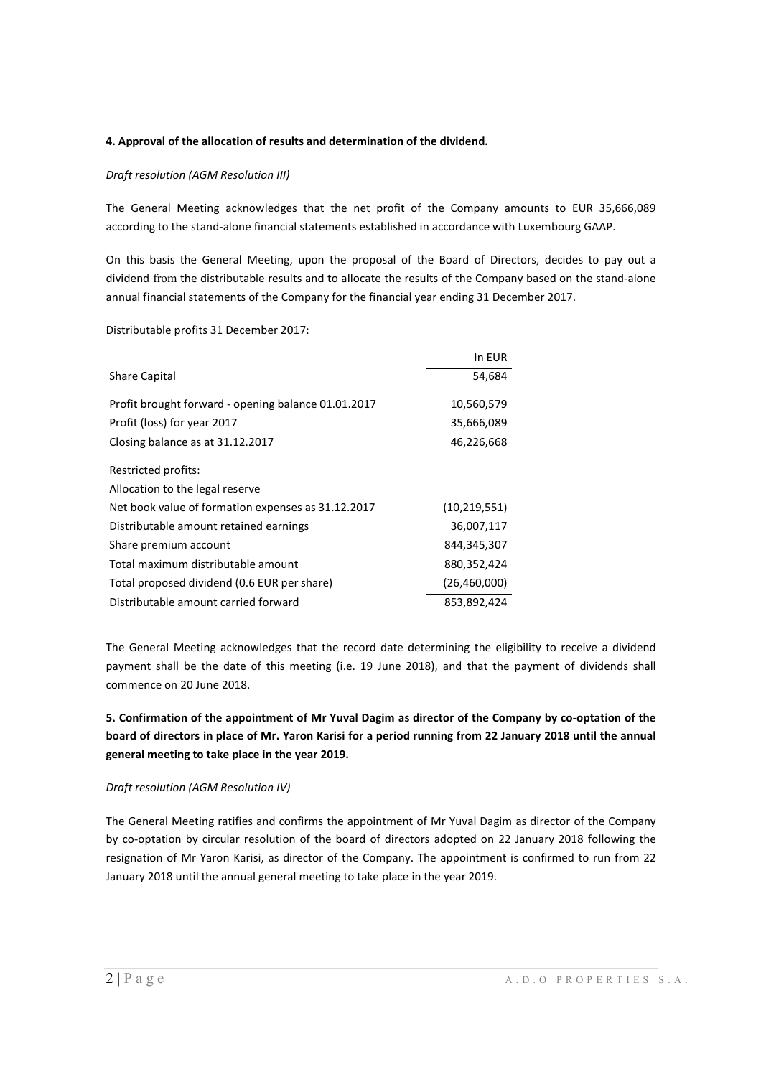### **4. Approval of the allocation of results and determination of the dividend.**

### *Draft resolution (AGM Resolution III)*

The General Meeting acknowledges that the net profit of the Company amounts to EUR 35,666,089 according to the stand-alone financial statements established in accordance with Luxembourg GAAP.

On this basis the General Meeting, upon the proposal of the Board of Directors, decides to pay out a dividend from the distributable results and to allocate the results of the Company based on the stand-alone annual financial statements of the Company for the financial year ending 31 December 2017.

Distributable profits 31 December 2017:

|                                                     | In EUR         |
|-----------------------------------------------------|----------------|
| Share Capital                                       | 54,684         |
| Profit brought forward - opening balance 01.01.2017 | 10,560,579     |
| Profit (loss) for year 2017                         | 35,666,089     |
| Closing balance as at 31.12.2017                    | 46,226,668     |
| Restricted profits:                                 |                |
| Allocation to the legal reserve                     |                |
| Net book value of formation expenses as 31.12.2017  | (10, 219, 551) |
| Distributable amount retained earnings              | 36,007,117     |
| Share premium account                               | 844,345,307    |
| Total maximum distributable amount                  | 880,352,424    |
| Total proposed dividend (0.6 EUR per share)         | (26,460,000)   |
| Distributable amount carried forward                | 853,892,424    |

The General Meeting acknowledges that the record date determining the eligibility to receive a dividend payment shall be the date of this meeting (i.e. 19 June 2018), and that the payment of dividends shall commence on 20 June 2018.

**5. Confirmation of the appointment of Mr Yuval Dagim as director of the Company by co-optation of the board of directors in place of Mr. Yaron Karisi for a period running from 22 January 2018 until the annual general meeting to take place in the year 2019.** 

#### *Draft resolution (AGM Resolution IV)*

The General Meeting ratifies and confirms the appointment of Mr Yuval Dagim as director of the Company by co-optation by circular resolution of the board of directors adopted on 22 January 2018 following the resignation of Mr Yaron Karisi, as director of the Company. The appointment is confirmed to run from 22 January 2018 until the annual general meeting to take place in the year 2019.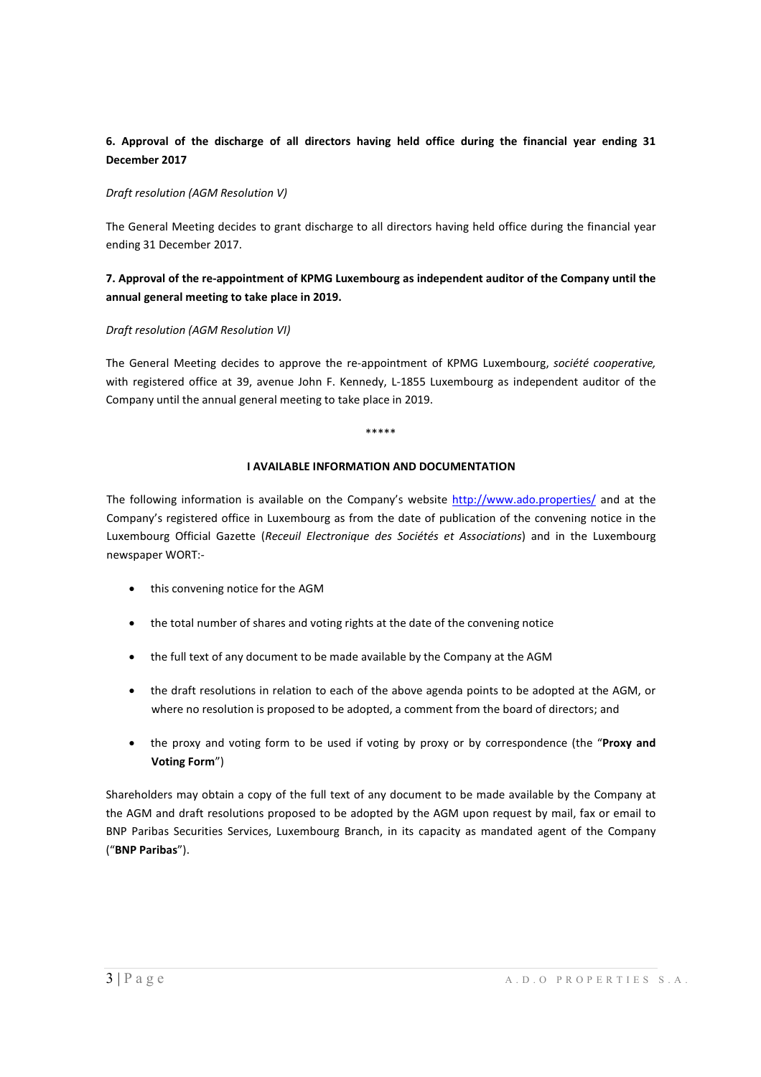# **6. Approval of the discharge of all directors having held office during the financial year ending 31 December 2017**

### *Draft resolution (AGM Resolution V)*

The General Meeting decides to grant discharge to all directors having held office during the financial year ending 31 December 2017.

# **7. Approval of the re-appointment of KPMG Luxembourg as independent auditor of the Company until the annual general meeting to take place in 2019.**

## *Draft resolution (AGM Resolution VI)*

The General Meeting decides to approve the re-appointment of KPMG Luxembourg, *société cooperative,* with registered office at 39, avenue John F. Kennedy, L-1855 Luxembourg as independent auditor of the Company until the annual general meeting to take place in 2019.

\*\*\*\*\*

## **I AVAILABLE INFORMATION AND DOCUMENTATION**

The following information is available on the Company's website http://www.ado.properties/ and at the Company's registered office in Luxembourg as from the date of publication of the convening notice in the Luxembourg Official Gazette (*Receuil Electronique des Sociétés et Associations*) and in the Luxembourg newspaper WORT:-

- this convening notice for the AGM
- the total number of shares and voting rights at the date of the convening notice
- the full text of any document to be made available by the Company at the AGM
- the draft resolutions in relation to each of the above agenda points to be adopted at the AGM, or where no resolution is proposed to be adopted, a comment from the board of directors; and
- the proxy and voting form to be used if voting by proxy or by correspondence (the "**Proxy and Voting Form**")

Shareholders may obtain a copy of the full text of any document to be made available by the Company at the AGM and draft resolutions proposed to be adopted by the AGM upon request by mail, fax or email to BNP Paribas Securities Services, Luxembourg Branch, in its capacity as mandated agent of the Company ("**BNP Paribas**").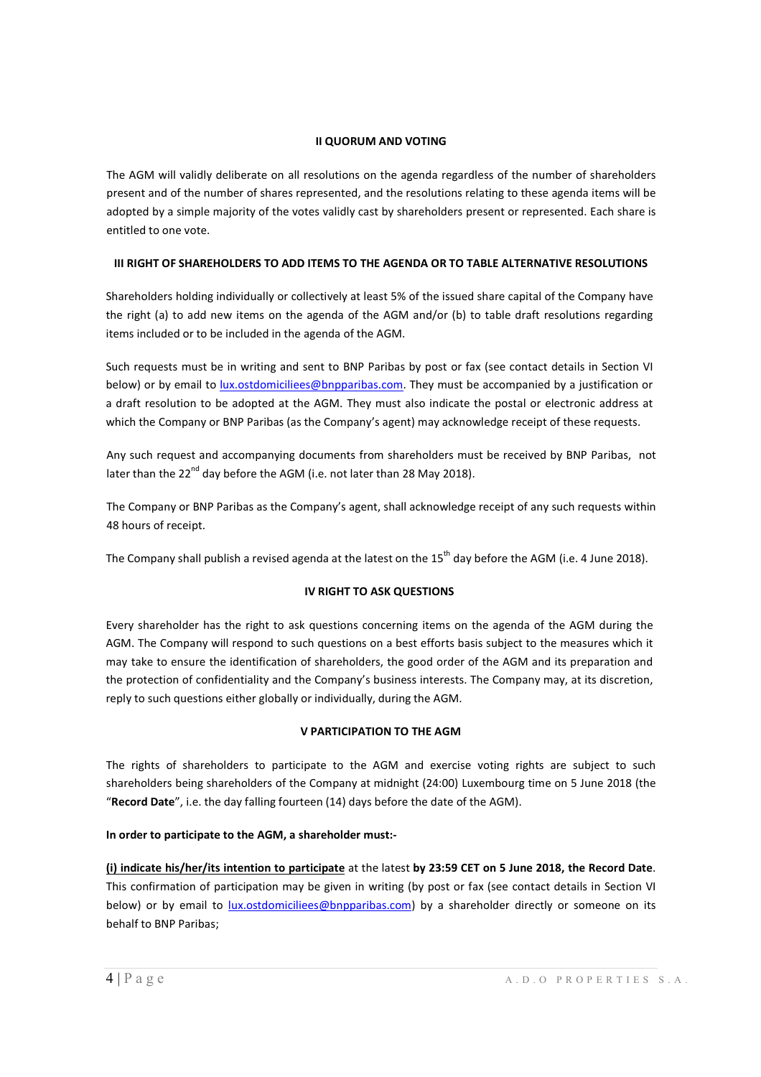## **II QUORUM AND VOTING**

The AGM will validly deliberate on all resolutions on the agenda regardless of the number of shareholders present and of the number of shares represented, and the resolutions relating to these agenda items will be adopted by a simple majority of the votes validly cast by shareholders present or represented. Each share is entitled to one vote.

# **III RIGHT OF SHAREHOLDERS TO ADD ITEMS TO THE AGENDA OR TO TABLE ALTERNATIVE RESOLUTIONS**

Shareholders holding individually or collectively at least 5% of the issued share capital of the Company have the right (a) to add new items on the agenda of the AGM and/or (b) to table draft resolutions regarding items included or to be included in the agenda of the AGM.

Such requests must be in writing and sent to BNP Paribas by post or fax (see contact details in Section VI below) or by email to lux.ostdomiciliees@bnpparibas.com. They must be accompanied by a justification or a draft resolution to be adopted at the AGM. They must also indicate the postal or electronic address at which the Company or BNP Paribas (as the Company's agent) may acknowledge receipt of these requests.

Any such request and accompanying documents from shareholders must be received by BNP Paribas, not later than the  $22^{nd}$  day before the AGM (i.e. not later than 28 May 2018).

The Company or BNP Paribas as the Company's agent, shall acknowledge receipt of any such requests within 48 hours of receipt.

The Company shall publish a revised agenda at the latest on the  $15<sup>th</sup>$  day before the AGM (i.e. 4 June 2018).

# **IV RIGHT TO ASK QUESTIONS**

Every shareholder has the right to ask questions concerning items on the agenda of the AGM during the AGM. The Company will respond to such questions on a best efforts basis subject to the measures which it may take to ensure the identification of shareholders, the good order of the AGM and its preparation and the protection of confidentiality and the Company's business interests. The Company may, at its discretion, reply to such questions either globally or individually, during the AGM.

# **V PARTICIPATION TO THE AGM**

The rights of shareholders to participate to the AGM and exercise voting rights are subject to such shareholders being shareholders of the Company at midnight (24:00) Luxembourg time on 5 June 2018 (the "**Record Date**", i.e. the day falling fourteen (14) days before the date of the AGM).

# **In order to participate to the AGM, a shareholder must:-**

**(i) indicate his/her/its intention to participate** at the latest **by 23:59 CET on 5 June 2018, the Record Date**. This confirmation of participation may be given in writing (by post or fax (see contact details in Section VI below) or by email to lux.ostdomiciliees@bnpparibas.com) by a shareholder directly or someone on its behalf to BNP Paribas;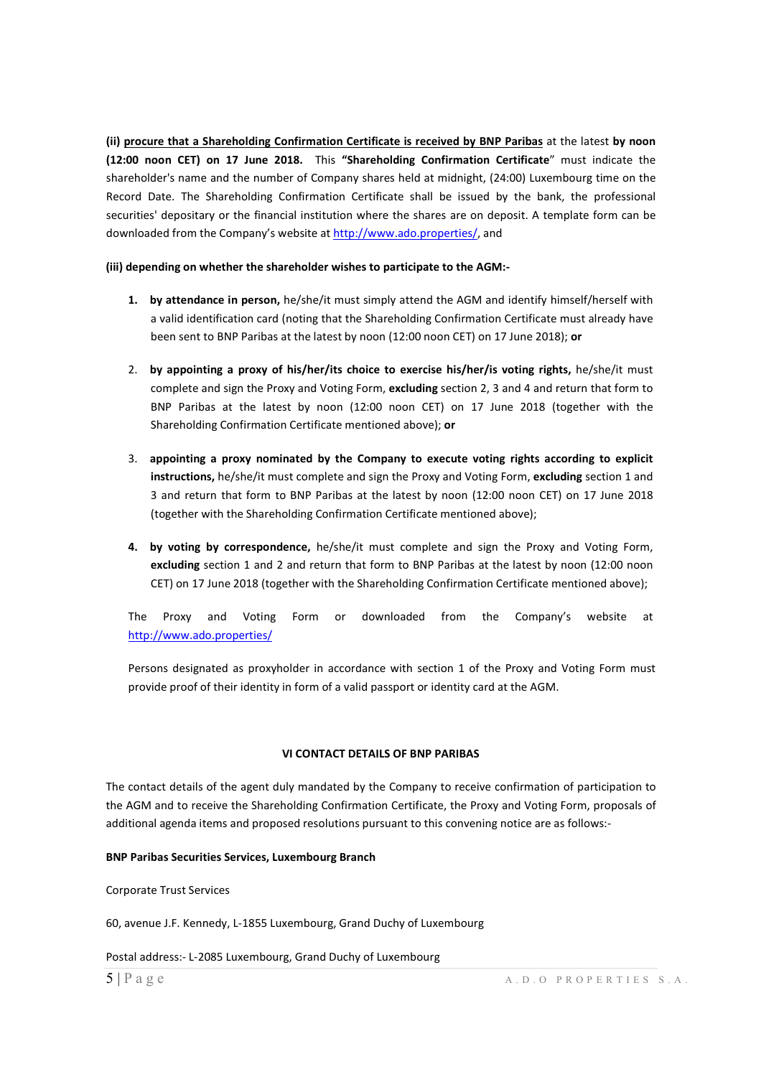**(ii) procure that a Shareholding Confirmation Certificate is received by BNP Paribas** at the latest **by noon (12:00 noon CET) on 17 June 2018.** This **"Shareholding Confirmation Certificate**" must indicate the shareholder's name and the number of Company shares held at midnight, (24:00) Luxembourg time on the Record Date. The Shareholding Confirmation Certificate shall be issued by the bank, the professional securities' depositary or the financial institution where the shares are on deposit. A template form can be downloaded from the Company's website at http://www.ado.properties/, and

#### **(iii) depending on whether the shareholder wishes to participate to the AGM:-**

- **1. by attendance in person,** he/she/it must simply attend the AGM and identify himself/herself with a valid identification card (noting that the Shareholding Confirmation Certificate must already have been sent to BNP Paribas at the latest by noon (12:00 noon CET) on 17 June 2018); **or**
- 2. **by appointing a proxy of his/her/its choice to exercise his/her/is voting rights,** he/she/it must complete and sign the Proxy and Voting Form, **excluding** section 2, 3 and 4 and return that form to BNP Paribas at the latest by noon (12:00 noon CET) on 17 June 2018 (together with the Shareholding Confirmation Certificate mentioned above); **or**
- 3. **appointing a proxy nominated by the Company to execute voting rights according to explicit instructions,** he/she/it must complete and sign the Proxy and Voting Form, **excluding** section 1 and 3 and return that form to BNP Paribas at the latest by noon (12:00 noon CET) on 17 June 2018 (together with the Shareholding Confirmation Certificate mentioned above);
- **4. by voting by correspondence,** he/she/it must complete and sign the Proxy and Voting Form, **excluding** section 1 and 2 and return that form to BNP Paribas at the latest by noon (12:00 noon CET) on 17 June 2018 (together with the Shareholding Confirmation Certificate mentioned above);

The Proxy and Voting Form or downloaded from the Company's website at http://www.ado.properties/

Persons designated as proxyholder in accordance with section 1 of the Proxy and Voting Form must provide proof of their identity in form of a valid passport or identity card at the AGM.

#### **VI CONTACT DETAILS OF BNP PARIBAS**

The contact details of the agent duly mandated by the Company to receive confirmation of participation to the AGM and to receive the Shareholding Confirmation Certificate, the Proxy and Voting Form, proposals of additional agenda items and proposed resolutions pursuant to this convening notice are as follows:-

#### **BNP Paribas Securities Services, Luxembourg Branch**

Corporate Trust Services

60, avenue J.F. Kennedy, L-1855 Luxembourg, Grand Duchy of Luxembourg

Postal address:- L-2085 Luxembourg, Grand Duchy of Luxembourg